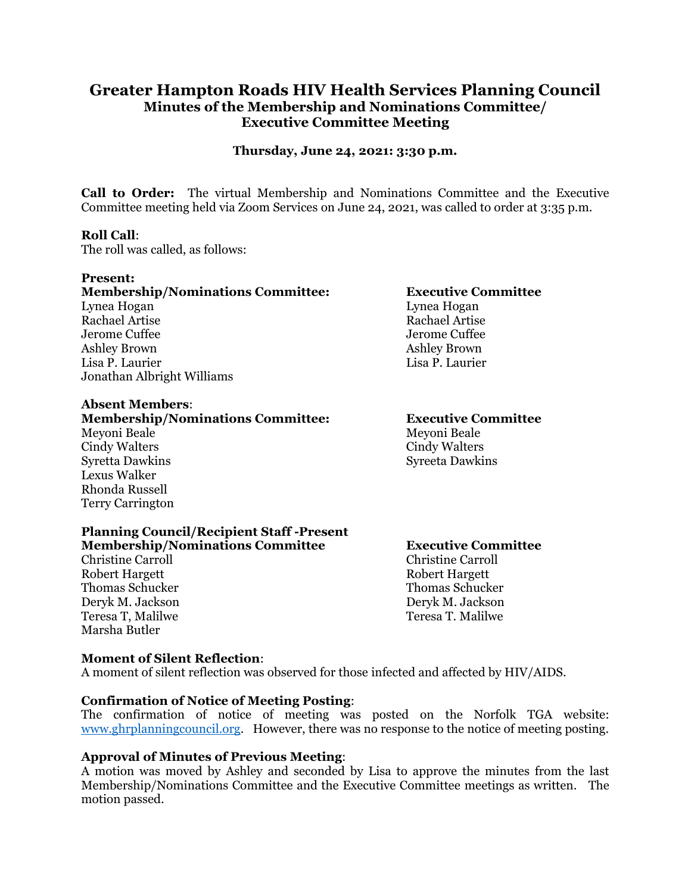# **Greater Hampton Roads HIV Health Services Planning Council Minutes of the Membership and Nominations Committee/ Executive Committee Meeting**

**Thursday, June 24, 2021: 3:30 p.m.**

**Call to Order:** The virtual Membership and Nominations Committee and the Executive Committee meeting held via Zoom Services on June 24, 2021, was called to order at 3:35 p.m.

## **Roll Call**:

The roll was called, as follows:

#### **Present:**

## **Membership/Nominations Committee: Executive Committee** Lynea Hogan Lynea Hogan Rachael Artise Rachael Artise Jerome Cuffee Jerome Cuffee Jerome Cuffee Jerome Cuffee Jerome Cuffee Jerome Cuffee Jerome Cuffee Jerome Cuffee Ashley Brown Ashley Brown Ashley Brown Ashley Brown Ashley Brown Ashley Brown Ashley Brown Ashley Brown Ashley Brown Ashley Brown Ashley Brown Ashley Brown Ashley Brown Ashley Brown Ashley Brown Ashley Brown Ashley Brown A Lisa P. Laurier Lisa P. Laurier Jonathan Albright Williams

#### **Absent Members**:

#### **Membership/Nominations Committee: Executive Committee**

Meyoni Beale Meyoni Beale Cindy Walters Cindy Walters Syretta Dawkins Syreeta Dawkins Lexus Walker Rhonda Russell Terry Carrington

#### **Planning Council/Recipient Staff -Present Membership/Nominations Committee Executive Committee**

Christine Carroll Christine Carroll Robert Hargett Robert Hargett Thomas Schucker Thomas Schucker Deryk M. Jackson Deryk M. Jackson Teresa T, Malilwe Teresa T. Malilwe Marsha Butler

## **Moment of Silent Reflection**:

A moment of silent reflection was observed for those infected and affected by HIV/AIDS.

## **Confirmation of Notice of Meeting Posting**:

The confirmation of notice of meeting was posted on the Norfolk TGA website: [www.ghrplanningcouncil.org.](http://www.ghrplanningcouncil.org/) However, there was no response to the notice of meeting posting.

## **Approval of Minutes of Previous Meeting**:

A motion was moved by Ashley and seconded by Lisa to approve the minutes from the last Membership/Nominations Committee and the Executive Committee meetings as written. The motion passed.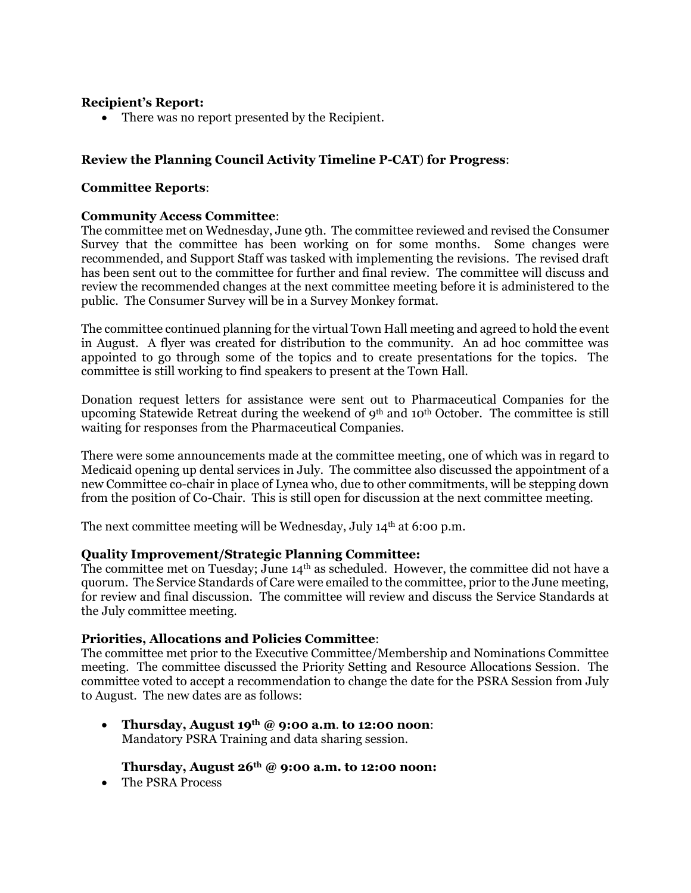## **Recipient's Report:**

• There was no report presented by the Recipient.

# **Review the Planning Council Activity Timeline P-CAT**) **for Progress**:

## **Committee Reports**:

## **Community Access Committee**:

The committee met on Wednesday, June 9th. The committee reviewed and revised the Consumer Survey that the committee has been working on for some months. Some changes were recommended, and Support Staff was tasked with implementing the revisions. The revised draft has been sent out to the committee for further and final review. The committee will discuss and review the recommended changes at the next committee meeting before it is administered to the public. The Consumer Survey will be in a Survey Monkey format.

The committee continued planning for the virtual Town Hall meeting and agreed to hold the event in August. A flyer was created for distribution to the community. An ad hoc committee was appointed to go through some of the topics and to create presentations for the topics. The committee is still working to find speakers to present at the Town Hall.

Donation request letters for assistance were sent out to Pharmaceutical Companies for the upcoming Statewide Retreat during the weekend of  $9<sup>th</sup>$  and 10<sup>th</sup> October. The committee is still waiting for responses from the Pharmaceutical Companies.

There were some announcements made at the committee meeting, one of which was in regard to Medicaid opening up dental services in July. The committee also discussed the appointment of a new Committee co-chair in place of Lynea who, due to other commitments, will be stepping down from the position of Co-Chair. This is still open for discussion at the next committee meeting.

The next committee meeting will be Wednesday, July  $14<sup>th</sup>$  at 6:00 p.m.

## **Quality Improvement/Strategic Planning Committee:**

The committee met on Tuesday; June  $14<sup>th</sup>$  as scheduled. However, the committee did not have a quorum. The Service Standards of Care were emailed to the committee, prior to the June meeting, for review and final discussion. The committee will review and discuss the Service Standards at the July committee meeting.

## **Priorities, Allocations and Policies Committee**:

The committee met prior to the Executive Committee/Membership and Nominations Committee meeting. The committee discussed the Priority Setting and Resource Allocations Session. The committee voted to accept a recommendation to change the date for the PSRA Session from July to August. The new dates are as follows:

• **Thursday, August 19th @ 9:00 a.m**. **to 12:00 noon**: Mandatory PSRA Training and data sharing session.

## **Thursday, August 26th @ 9:00 a.m. to 12:00 noon:**

• The PSRA Process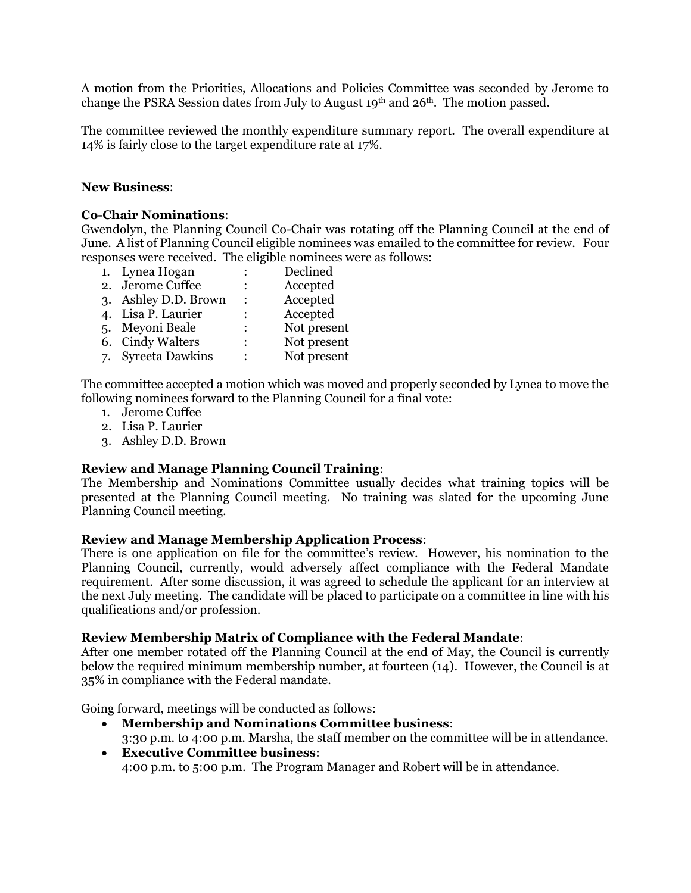A motion from the Priorities, Allocations and Policies Committee was seconded by Jerome to change the PSRA Session dates from July to August  $19<sup>th</sup>$  and  $26<sup>th</sup>$ . The motion passed.

The committee reviewed the monthly expenditure summary report. The overall expenditure at 14% is fairly close to the target expenditure rate at 17%.

## **New Business**:

## **Co-Chair Nominations**:

Gwendolyn, the Planning Council Co-Chair was rotating off the Planning Council at the end of June. A list of Planning Council eligible nominees was emailed to the committee for review. Four responses were received. The eligible nominees were as follows:

1. Lynea Hogan : Declined 2. Jerome Cuffee : Accepted 3. Ashley D.D. Brown : Accepted 4. Lisa P. Laurier : Accepted 5. Meyoni Beale : Not present 6. Cindy Walters : Not present 7. Syreeta Dawkins : Not present

The committee accepted a motion which was moved and properly seconded by Lynea to move the following nominees forward to the Planning Council for a final vote:

- 1. Jerome Cuffee
- 2. Lisa P. Laurier
- 3. Ashley D.D. Brown

## **Review and Manage Planning Council Training**:

The Membership and Nominations Committee usually decides what training topics will be presented at the Planning Council meeting. No training was slated for the upcoming June Planning Council meeting.

## **Review and Manage Membership Application Process**:

There is one application on file for the committee's review. However, his nomination to the Planning Council, currently, would adversely affect compliance with the Federal Mandate requirement. After some discussion, it was agreed to schedule the applicant for an interview at the next July meeting. The candidate will be placed to participate on a committee in line with his qualifications and/or profession.

## **Review Membership Matrix of Compliance with the Federal Mandate**:

After one member rotated off the Planning Council at the end of May, the Council is currently below the required minimum membership number, at fourteen (14). However, the Council is at 35% in compliance with the Federal mandate.

Going forward, meetings will be conducted as follows:

- **Membership and Nominations Committee business**: 3:30 p.m. to 4:00 p.m. Marsha, the staff member on the committee will be in attendance.
- **Executive Committee business**: 4:00 p.m. to 5:00 p.m. The Program Manager and Robert will be in attendance.